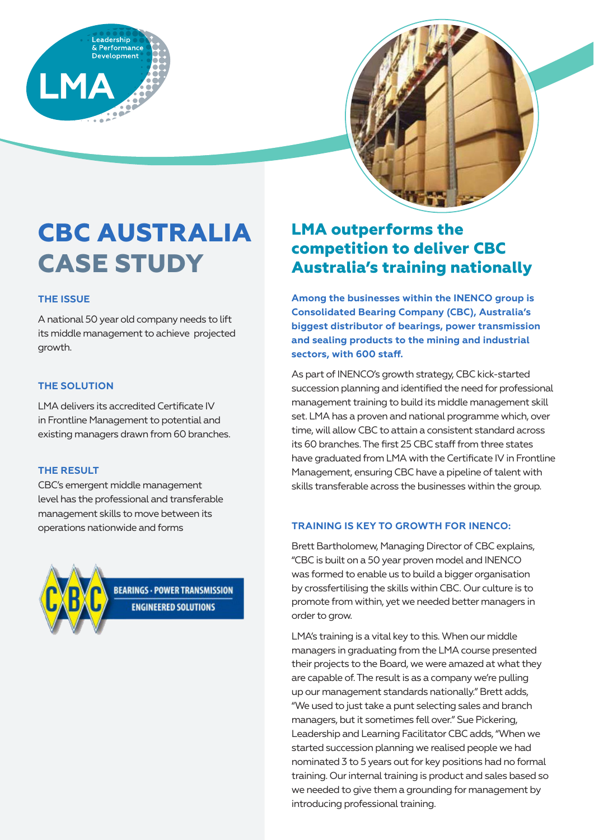



# **CBC AUSTRALIA CASE STUDY**

# **THE ISSUE**

A national 50 year old company needs to lift its middle management to achieve projected growth.

### **THE SOLUTION**

LMA delivers its accredited Certificate IV in Frontline Management to potential and existing managers drawn from 60 branches.

#### **THE RESULT**

CBC's emergent middle management level has the professional and transferable management skills to move between its operations nationwide and forms



**BEARINGS - POWER TRANSMISSION ENGINEERED SOLUTIONS** 

# **LMA outperforms the competition to deliver CBC Australia's training nationally**

**Among the businesses within the INENCO group is Consolidated Bearing Company (CBC), Australia's biggest distributor of bearings, power transmission and sealing products to the mining and industrial sectors, with 600 staff.**

As part of INENCO's growth strategy, CBC kick-started succession planning and identified the need for professional management training to build its middle management skill set. LMA has a proven and national programme which, over time, will allow CBC to attain a consistent standard across its 60 branches. The first 25 CBC staff from three states have graduated from LMA with the Certificate IV in Frontline Management, ensuring CBC have a pipeline of talent with skills transferable across the businesses within the group.

# **TRAINING IS KEY TO GROWTH FOR INENCO:**

Brett Bartholomew, Managing Director of CBC explains, "CBC is built on a 50 year proven model and INENCO was formed to enable us to build a bigger organisation by crossfertilising the skills within CBC. Our culture is to promote from within, yet we needed better managers in order to grow.

LMA's training is a vital key to this. When our middle managers in graduating from the LMA course presented their projects to the Board, we were amazed at what they are capable of. The result is as a company we're pulling up our management standards nationally." Brett adds, "We used to just take a punt selecting sales and branch managers, but it sometimes fell over." Sue Pickering, Leadership and Learning Facilitator CBC adds, "When we started succession planning we realised people we had nominated 3 to 5 years out for key positions had no formal training. Our internal training is product and sales based so we needed to give them a grounding for management by introducing professional training.